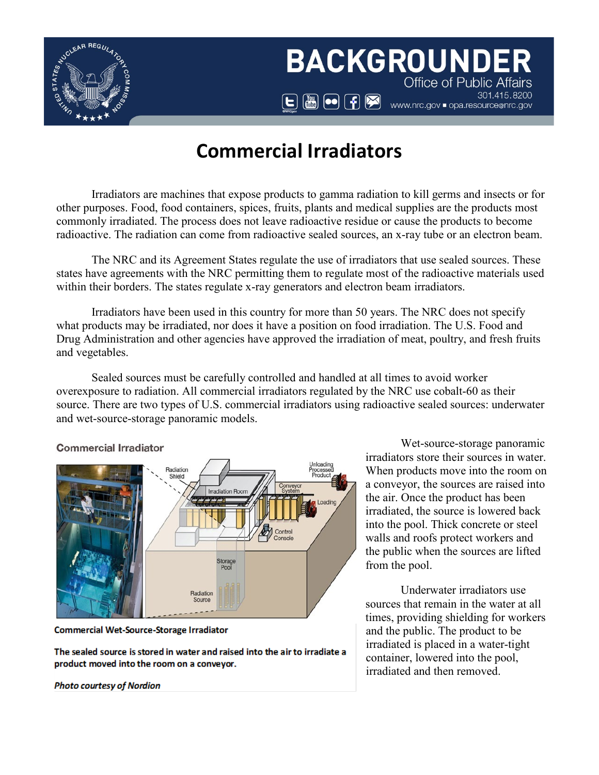

# **BACKGROUNDER Office of Public Affairs**  $\begin{tabular}{|c|c|c|c|} \hline \hspace{.15cm} & \hspace{.15cm} \hline \hspace{.15cm} & \hspace{.15cm} \hline \hspace{.15cm} & \hspace{.15cm} \hline \hspace{.15cm} & \hspace{.15cm} \hline \hspace{.15cm} & \hspace{.15cm} \hline \hspace{.15cm} & \hspace{.15cm} \hline \hspace{.15cm} & \hspace{.15cm} \hline \hspace{.15cm} & \hspace{.15cm} \hline \hspace{.15cm} & \hspace{.15cm} \hline \hspace$  $\begin{tabular}{|c|c|c|c|} \hline \hspace{.15cm} & \hspace{.15cm} \hline \hspace{.15cm} & \hspace{.15cm} \hline \hspace{.15cm} & \hspace{.15cm} \hline \hspace{.15cm} & \hspace{.15cm} \hline \hspace{.15cm} & \hspace{.15cm} \hline \hspace{.15cm} & \hspace{.15cm} \hline \hspace{.15cm} & \hspace{.15cm} \hline \hspace{.15cm} & \hspace{.15cm} \hline \hspace{.15cm} & \hspace{.15cm} \hline \hspace$  $\begin{tabular}{|c|c|c|c|} \hline \hspace{.15cm} & \hspace{.15cm} \hline \hspace{.15cm} & \hspace{.15cm} \hline \hspace{.15cm} & \hspace{.15cm} \hline \hspace{.15cm} & \hspace{.15cm} \hline \hspace{.15cm} & \hspace{.15cm} \hline \hspace{.15cm} & \hspace{.15cm} \hline \hspace{.15cm} & \hspace{.15cm} \hline \hspace{.15cm} & \hspace{.15cm} \hline \hspace{.15cm} & \hspace{.15cm} \hline \hspace$ 301.415.8200

# **Commercial Irra[dia](https://www.facebook.com/nrcgov)tors**

Irradiators are machines that expose products to gamm[a r](https://www.facebook.com/nrcgov)adiation to kill germs and insects or for other purposes. Food, food containers, spices, fruits, plants an[d m](https://www.facebook.com/nrcgov)edical supplies are the products most commonly irradiated. The process does not leave radioactive r[esid](https://www.facebook.com/nrcgov)ue or cause the products to become radioactive. The radiation can come from radioactive sealed s[ourc](https://www.facebook.com/nrcgov)es, an x-ray tube or an electron beam.

The NRC and its Agreement States regulate the use of [irr](https://www.facebook.com/nrcgov)adiators that use sealed sources. These states have agreements with the NRC permitting them to regul[ate](https://www.facebook.com/nrcgov) most of the radioactive materials used within their borders. The states regulate x-ray generators and [elec](https://www.facebook.com/nrcgov)tron beam irradiators.

Irradiators have been used in this country for more tha[n 5](https://www.facebook.com/nrcgov)0 years. The NRC does not specify what products may be irradiated, nor does it have a position o[n fo](https://www.facebook.com/nrcgov)od irradiation. The U.S. Food and Drug Administration and other agencies have approved the irr[adi](https://www.facebook.com/nrcgov)ation of meat, poultry, and fresh fruits and vegetables.

Sealed sources must be carefully controlled and handle[d](https://www.facebook.com/nrcgov) at all times to avoid worker overexposure to radiation. All commercial irradiators regulate[d b](https://www.facebook.com/nrcgov)y the NRC use cobalt-60 as their source. There are two types of U.S. commercial irradiators usi[ng r](https://www.facebook.com/nrcgov)adioactive sealed sources: underwater and wet-source-storage panoramic models.

#### **Commercial Irradiator**



**Commercial Wet-Source-Storage Irradiator** 

The sealed source is stored in water and raised into the air to irradiate a product moved into the room on a conveyor.

**Photo courtesy of Nordion** 

Wet-source-storage panoramic irradiators store their sources in water. When products move into the room on a conveyor, the sources are raised into the air. Once the product has been irradiated, the source is lowered back into the pool. Thick concrete or steel walls and roofs protect workers and the public when the sources are lifted from the pool.

Underwater irradiators use sources that remain in the water at all times, providing shielding for workers and the public. The product to be irradiated is placed in a water-tight container, lowered into the pool, irradiated and then removed.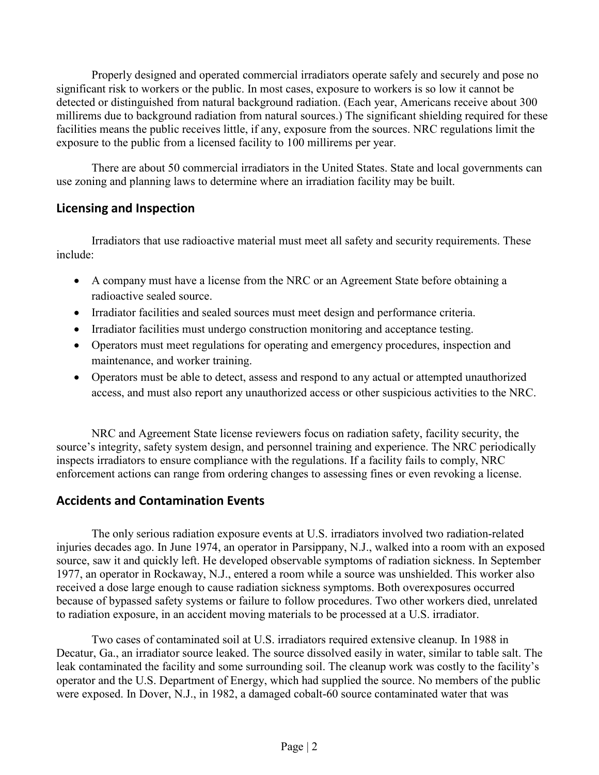Properly designed and operated commercial irradiators operate safely and securely and pose no significant risk to workers or the public. In most cases, exposure to workers is so low it cannot be detected or distinguished from natural background radiation. (Each year, Americans receive about 300 millirems due to background radiation from natural sources.) The significant shielding required for these facilities means the public receives little, if any, exposure from the sources. NRC regulations limit the exposure to the public from a licensed facility to 100 millirems per year.

There are about 50 commercial irradiators in the United States. State and local governments can use zoning and planning laws to determine where an irradiation facility may be built.

## **Licensing and Inspection**

Irradiators that use radioactive material must meet all safety and security requirements. These include:

- A company must have a license from the NRC or an Agreement State before obtaining a radioactive sealed source.
- Irradiator facilities and sealed sources must meet design and performance criteria.
- Irradiator facilities must undergo construction monitoring and acceptance testing.
- Operators must meet regulations for operating and emergency procedures, inspection and maintenance, and worker training.
- Operators must be able to detect, assess and respond to any actual or attempted unauthorized access, and must also report any unauthorized access or other suspicious activities to the NRC.

NRC and Agreement State license reviewers focus on radiation safety, facility security, the source's integrity, safety system design, and personnel training and experience. The NRC periodically inspects irradiators to ensure compliance with the regulations. If a facility fails to comply, NRC enforcement actions can range from ordering changes to assessing fines or even revoking a license.

### **Accidents and Contamination Events**

The only serious radiation exposure events at U.S. irradiators involved two radiation-related injuries decades ago. In June 1974, an operator in Parsippany, N.J., walked into a room with an exposed source, saw it and quickly left. He developed observable symptoms of radiation sickness. In September 1977, an operator in Rockaway, N.J., entered a room while a source was unshielded. This worker also received a dose large enough to cause radiation sickness symptoms. Both overexposures occurred because of bypassed safety systems or failure to follow procedures. Two other workers died, unrelated to radiation exposure, in an accident moving materials to be processed at a U.S. irradiator.

Two cases of contaminated soil at U.S. irradiators required extensive cleanup. In 1988 in Decatur, Ga., an irradiator source leaked. The source dissolved easily in water, similar to table salt. The leak contaminated the facility and some surrounding soil. The cleanup work was costly to the facility's operator and the U.S. Department of Energy, which had supplied the source. No members of the public were exposed. In Dover, N.J., in 1982, a damaged cobalt-60 source contaminated water that was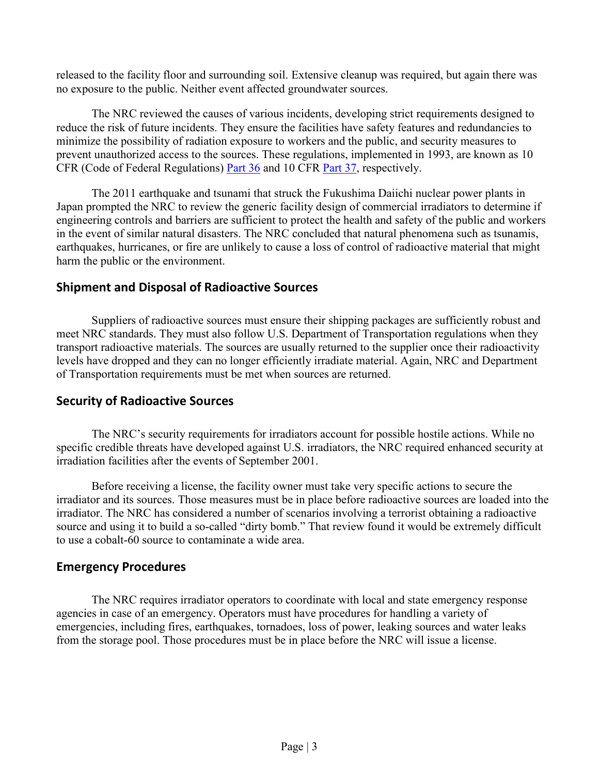released to the facility floor and surrounding soil. Extensive cleanup was required, but again there was no exposure to the public. Neither event affected groundwater sources.

The NRC reviewed the causes of various incidents, developing strict requirements designed to reduce the risk of future incidents. They ensure the facilities have safety features and redundancies to minimize the possibility of radiation exposure to workers and the public, and security measures to prevent unauthorized access to the sources. These regulations, implemented in 1993, are known as 10 CFR (Code of Federal Regulations) [Part 36](https://www.nrc.gov/reading-rm/doc-collections/cfr/part036/) and 10 CFR [Part 37,](https://www.nrc.gov/reading-rm/doc-collections/cfr/part037/) respectively.

The 2011 earthquake and tsunami that struck the Fukushima Daiichi nuclear power plants in Japan prompted the NRC to review the generic facility design of commercial irradiators to determine if engineering controls and barriers are sufficient to protect the health and safety of the public and workers in the event of similar natural disasters. The NRC concluded that natural phenomena such as tsunamis, earthquakes, hurricanes, or fire are unlikely to cause a loss of control of radioactive material that might harm the public or the environment.

### **Shipment and Disposal of Radioactive Sources**

Suppliers of radioactive sources must ensure their shipping packages are sufficiently robust and meet NRC standards. They must also follow U.S. Department of Transportation regulations when they transport radioactive materials. The sources are usually returned to the supplier once their radioactivity levels have dropped and they can no longer efficiently irradiate material. Again, NRC and Department of Transportation requirements must be met when sources are returned.

### **Security of Radioactive Sources**

The NRC's security requirements for irradiators account for possible hostile actions. While no specific credible threats have developed against U.S. irradiators, the NRC required enhanced security at irradiation facilities after the events of September 2001.

Before receiving a license, the facility owner must take very specific actions to secure the irradiator and its sources. Those measures must be in place before radioactive sources are loaded into the irradiator. The NRC has considered a number of scenarios involving a terrorist obtaining a radioactive source and using it to build a so-called "dirty bomb." That review found it would be extremely difficult to use a cobalt-60 source to contaminate a wide area.

#### **Emergency Procedures**

The NRC requires irradiator operators to coordinate with local and state emergency response agencies in case of an emergency. Operators must have procedures for handling a variety of emergencies, including fires, earthquakes, tornadoes, loss of power, leaking sources and water leaks from the storage pool. Those procedures must be in place before the NRC will issue a license.